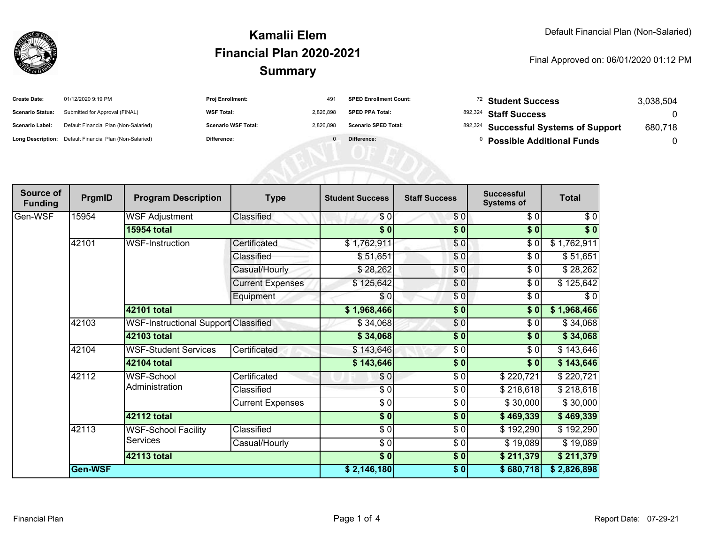

### **SummaryKamalii ElemFinancial Plan 2020-2021**

#### Final Approved on: 06/01/2020 01:12 PM

| <b>Create Date:</b>     | 01/12/2020 9:19 PM                                      | <b>Proj Enrollment:</b>    | 491       | <b>SPED Enrollment Count:</b> | <sup>72</sup> Student Success         | 3,038,504 |
|-------------------------|---------------------------------------------------------|----------------------------|-----------|-------------------------------|---------------------------------------|-----------|
| <b>Scenario Status:</b> | Submitted for Approval (FINAL)                          | <b>WSF Total:</b>          | 2.826.898 | <b>SPED PPA Total:</b>        | 892,324 Staff Success                 |           |
| <b>Scenario Label:</b>  | Default Financial Plan (Non-Salaried)                   | <b>Scenario WSF Total:</b> | 2.826.898 | <b>Scenario SPED Total:</b>   | 892,324 Successful Systems of Support | 680,718   |
|                         | Long Description: Default Financial Plan (Non-Salaried) | <b>Difference:</b>         |           | Difference:                   | <b>Possible Additional Funds</b>      |           |

| Source of<br><b>Funding</b> | PrgmID  | <b>Program Description</b>             | <b>Type</b>             | <b>Student Success</b>   | <b>Staff Success</b> | <b>Successful</b><br><b>Systems of</b> | <b>Total</b> |
|-----------------------------|---------|----------------------------------------|-------------------------|--------------------------|----------------------|----------------------------------------|--------------|
| Gen-WSF                     | 15954   | <b>WSF Adjustment</b>                  | Classified              | \$0                      | \$0]                 | \$0                                    | \$0          |
|                             |         | <b>15954 total</b>                     |                         | $\frac{1}{2}$            | $\sqrt{6}$           | $\sqrt{6}$                             | \$0          |
|                             | 42101   | <b>WSF-Instruction</b>                 | Certificated            | \$1,762,911              | \$0                  | \$0                                    | \$1,762,911  |
|                             |         |                                        | Classified              | \$51,651                 | \$0                  | \$0                                    | \$51,651     |
|                             |         |                                        | Casual/Hourly           | \$28,262                 | \$0                  | \$0                                    | \$28,262     |
|                             |         |                                        | <b>Current Expenses</b> | \$125,642                | $\frac{6}{6}$        | \$0                                    | \$125,642    |
|                             |         |                                        | Equipment               | \$0                      | \$0                  | \$0                                    | \$0          |
|                             |         | 42101 total                            |                         | \$1,968,466              | $\sqrt{6}$           | \$0                                    | \$1,968,466  |
|                             | 42103   | WSF-Instructional Support Classified   |                         | \$34,068                 | \$0                  | \$0                                    | \$34,068     |
|                             |         | 42103 total                            |                         | \$34,068                 | $\sqrt{6}$           | \$0                                    | \$34,068     |
|                             | 42104   | <b>WSF-Student Services</b>            | Certificated            | \$143,646                | \$0                  | \$0                                    | \$143,646    |
|                             |         | 42104 total                            |                         | \$143,646                | \$0                  | \$0                                    | \$143,646    |
|                             | 42112   | WSF-School                             | Certificated            | \$0                      | \$0                  | \$220,721                              | \$220,721    |
|                             |         | Administration                         | Classified              | $\sqrt{6}$               | \$0                  | \$218,618                              | \$218,618    |
|                             |         |                                        | <b>Current Expenses</b> | $\overline{\frac{3}{2}}$ | \$0                  | \$30,000                               | \$30,000     |
|                             |         | <b>42112 total</b>                     |                         | $\frac{1}{6}$            | $\sqrt{6}$           | \$469,339                              | \$469,339    |
|                             | 42113   | <b>WSF-School Facility</b><br>Services | Classified              | \$0                      | \$0                  | \$192,290                              | \$192,290    |
|                             |         |                                        | Casual/Hourly           | $\overline{\frac{3}{2}}$ | \$ 0                 | \$19,089                               | \$19,089     |
|                             |         | <b>42113 total</b>                     |                         | $\sqrt{6}$               | \$0                  | \$211,379                              | \$211,379    |
|                             | Gen-WSF |                                        |                         | \$2,146,180              | \$0                  | \$680,718                              | \$2,826,898  |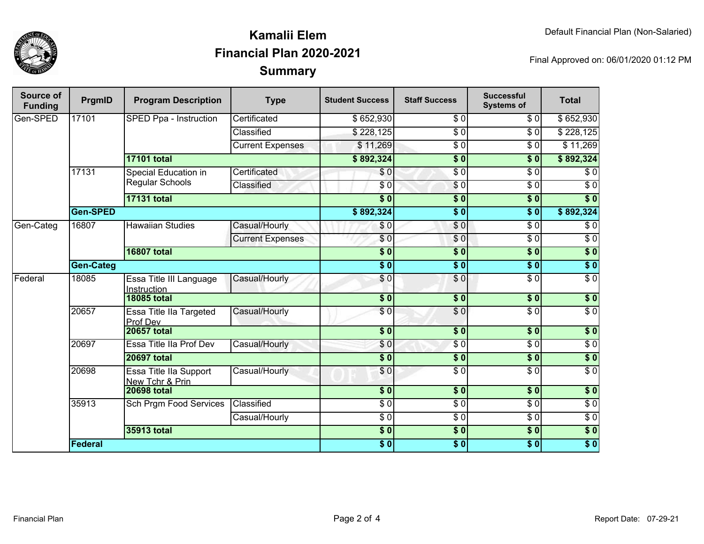

## **SummaryKamalii ElemFinancial Plan 2020-2021**

Final Approved on: 06/01/2020 01:12 PM

| Source of<br><b>Funding</b> | PrgmID           | <b>Program Description</b>                     | <b>Type</b>             | <b>Student Success</b>   | <b>Staff Success</b>        | <b>Successful</b><br><b>Systems of</b> | <b>Total</b>     |                 |
|-----------------------------|------------------|------------------------------------------------|-------------------------|--------------------------|-----------------------------|----------------------------------------|------------------|-----------------|
| Gen-SPED                    | 17101            | SPED Ppa - Instruction                         | Certificated            | \$652,930                | \$0                         | \$0                                    | \$652,930        |                 |
|                             |                  |                                                | Classified              | \$228,125                | $\overline{S}0$             | $\overline{\$}0$                       | \$228,125        |                 |
|                             |                  |                                                | <b>Current Expenses</b> | \$11,269                 | $\overline{\$0}$            | \$0                                    | \$11,269         |                 |
|                             |                  | 17101 total                                    |                         | \$892,324                | $\overline{\textbf{S}^0}$   | \$0                                    | \$892,324        |                 |
|                             | 17131            | Special Education in<br><b>Regular Schools</b> | Certificated            | \$0                      | $\overline{S}$ <sub>0</sub> | \$0                                    | \$0              |                 |
|                             |                  |                                                | Classified              | \$0                      | $\sqrt{6}$                  | $\overline{\$0}$                       | $\overline{\$0}$ |                 |
|                             |                  | <b>17131 total</b>                             |                         | $\overline{\$0}$         | $\overline{\$0}$            | $\overline{\$0}$                       | $\overline{\$0}$ |                 |
|                             | <b>Gen-SPED</b>  |                                                |                         | \$892,324                | $\overline{\$}0$            | $\overline{\$0}$                       | \$892,324        |                 |
| Gen-Categ                   | 16807            | <b>Hawaiian Studies</b>                        | Casual/Hourly           | \$0                      | $\overline{\$}0$            | $\overline{\$0}$                       | $\sqrt{6}$       |                 |
|                             |                  |                                                |                         | <b>Current Expenses</b>  | $\sqrt{6}$                  | \$0                                    | $\overline{\$0}$ | $\overline{50}$ |
|                             |                  | <b>16807 total</b>                             |                         | $\overline{\$0}$         | $\overline{\$0}$            | $\overline{\$0}$                       | $\overline{\$0}$ |                 |
|                             | <b>Gen-Categ</b> |                                                |                         |                          | $\overline{\bullet}$        | $\overline{\$0}$                       | $\sqrt{6}$       |                 |
| Federal                     | 18085            | Essa Title III Language<br>Instruction         | Casual/Hourly           | \$0                      | \$0                         | $\overline{\$0}$                       | $\overline{\$0}$ |                 |
|                             |                  | <b>18085 total</b>                             |                         | $\overline{\textbf{50}}$ | $\overline{\$0}$            | $\overline{\textbf{50}}$               | $\sqrt{6}$       |                 |
|                             | 20657            | Essa Title IIa Targeted<br>Prof Dev            | Casual/Hourly           | $\overline{\$0}$         | $\overline{\$0}$            | $\overline{\$0}$                       | $\overline{\$0}$ |                 |
|                             |                  | <b>20657 total</b>                             |                         | $\overline{\$0}$         | $\overline{\$0}$            | $\overline{\$0}$                       | \$0              |                 |
|                             | 20697            | Essa Title IIa Prof Dev                        | Casual/Hourly           | \$0                      | $\overline{S}0$             | $\overline{\$0}$                       | $\sqrt{6}$       |                 |
|                             |                  | <b>20697 total</b>                             |                         | $\overline{\$0}$         | $\overline{\$0}$            | $\overline{\$0}$                       | $\overline{\$0}$ |                 |
|                             | 20698            | Essa Title IIa Support<br>New Tchr & Prin      | Casual/Hourly           | \$0                      | $\overline{30}$             | $\overline{\$0}$                       | $\sqrt{6}$       |                 |
|                             |                  | <b>20698 total</b>                             |                         | $\overline{\$0}$         | $\overline{\$0}$            | $\overline{\$0}$                       | $\overline{\$0}$ |                 |
|                             | 35913            | <b>Sch Prgm Food Services</b>                  | Classified              | $\overline{\$0}$         | $\overline{50}$             | $\overline{\$0}$                       | $\overline{30}$  |                 |
|                             |                  |                                                | Casual/Hourly           | $\sqrt{6}$               | $\overline{50}$             | $\overline{\$0}$                       | $\overline{50}$  |                 |
|                             |                  | 35913 total                                    |                         | $\overline{\$0}$         | $\overline{\$0}$            | $\overline{\$0}$                       | $\overline{\$0}$ |                 |
|                             | Federal          |                                                |                         | $\frac{1}{6}$            | $\overline{\$0}$            | $\overline{\$0}$                       | $\overline{\$0}$ |                 |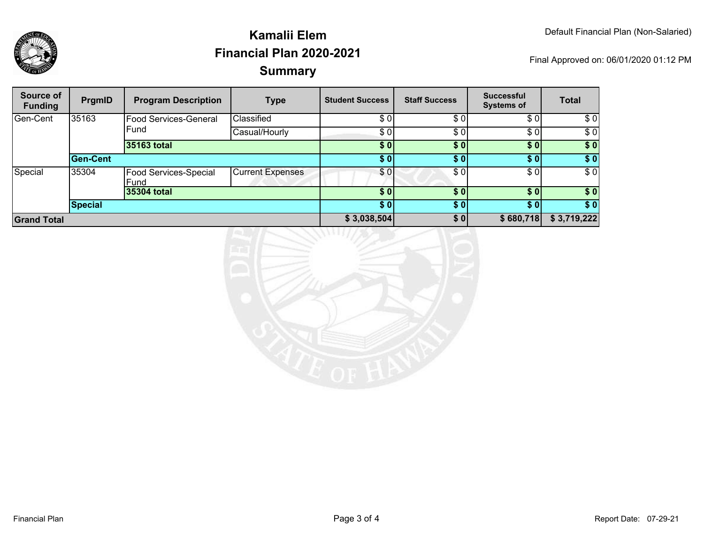

## **SummaryKamalii ElemFinancial Plan 2020-2021**

Final Approved on: 06/01/2020 01:12 PM

| Source of<br><b>Funding</b> | PrgmID   | <b>Program Description</b>    | <b>Type</b>             | <b>Student Success</b> | <b>Staff Success</b> | <b>Successful</b><br><b>Systems of</b> | <b>Total</b> |
|-----------------------------|----------|-------------------------------|-------------------------|------------------------|----------------------|----------------------------------------|--------------|
| Gen-Cent                    | 35163    | Food Services-General         | Classified              | \$01                   | \$01                 | \$0                                    | \$0          |
|                             |          | Fund                          | Casual/Hourly           | \$0                    | \$0                  | \$0                                    | \$0          |
|                             |          | 35163 total                   |                         | \$0                    | \$0 <sub>1</sub>     | \$0                                    | \$0          |
|                             | Gen-Cent |                               |                         | \$0                    | \$0                  | \$0                                    | \$0          |
| Special                     | 35304    | Food Services-Special<br>Fund | <b>Current Expenses</b> | \$01                   | \$0                  | \$0                                    | \$0          |
|                             |          | 35304 total                   |                         | \$0                    | \$0 <sub>1</sub>     | \$0                                    | \$0          |
|                             | Special  |                               |                         | \$0                    | \$0                  | \$0                                    | \$0          |
| <b>Grand Total</b>          |          |                               | \$3,038,504             | \$0 <sub>1</sub>       | \$680,718            | \$3,719,222                            |              |